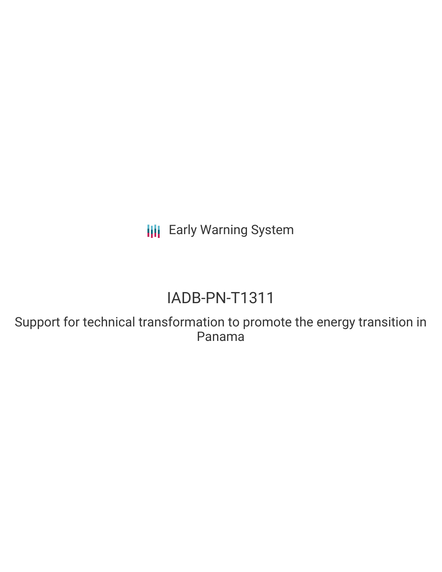**III** Early Warning System

# IADB-PN-T1311

Support for technical transformation to promote the energy transition in Panama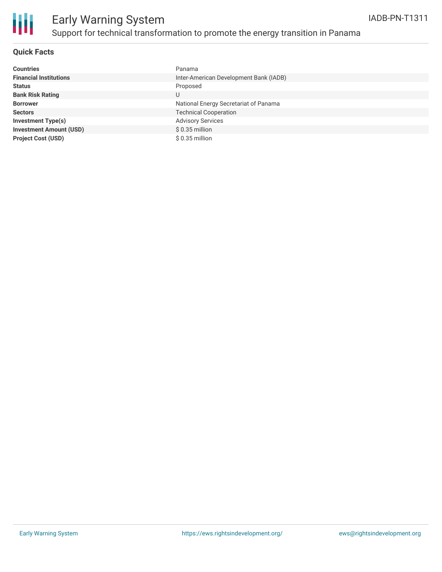

## Early Warning System Support for technical transformation to promote the energy transition in Panama

#### **Quick Facts**

| <b>Countries</b>               | Panama                                 |
|--------------------------------|----------------------------------------|
| <b>Financial Institutions</b>  | Inter-American Development Bank (IADB) |
| <b>Status</b>                  | Proposed                               |
| <b>Bank Risk Rating</b>        | U                                      |
| <b>Borrower</b>                | National Energy Secretariat of Panama  |
| <b>Sectors</b>                 | <b>Technical Cooperation</b>           |
| <b>Investment Type(s)</b>      | <b>Advisory Services</b>               |
| <b>Investment Amount (USD)</b> | $$0.35$ million                        |
| <b>Project Cost (USD)</b>      | $$0.35$ million                        |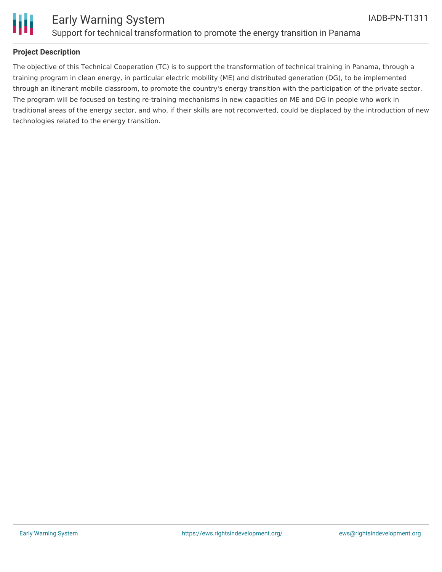

#### **Project Description**

The objective of this Technical Cooperation (TC) is to support the transformation of technical training in Panama, through a training program in clean energy, in particular electric mobility (ME) and distributed generation (DG), to be implemented through an itinerant mobile classroom, to promote the country's energy transition with the participation of the private sector. The program will be focused on testing re-training mechanisms in new capacities on ME and DG in people who work in traditional areas of the energy sector, and who, if their skills are not reconverted, could be displaced by the introduction of new technologies related to the energy transition.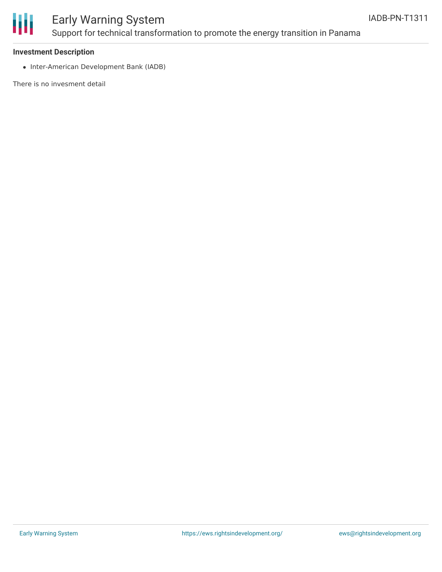

### Early Warning System Support for technical transformation to promote the energy transition in Panama

#### **Investment Description**

• Inter-American Development Bank (IADB)

There is no invesment detail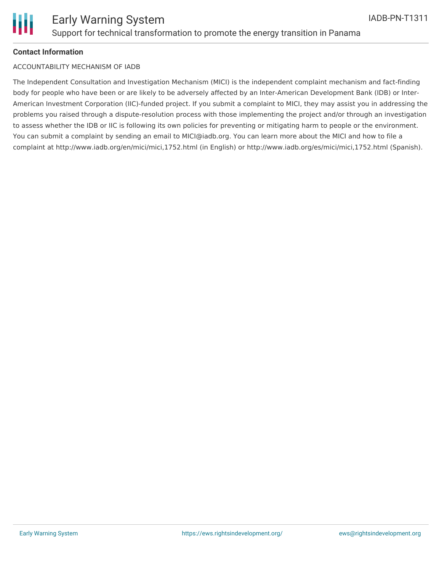

#### **Contact Information**

#### ACCOUNTABILITY MECHANISM OF IADB

The Independent Consultation and Investigation Mechanism (MICI) is the independent complaint mechanism and fact-finding body for people who have been or are likely to be adversely affected by an Inter-American Development Bank (IDB) or Inter-American Investment Corporation (IIC)-funded project. If you submit a complaint to MICI, they may assist you in addressing the problems you raised through a dispute-resolution process with those implementing the project and/or through an investigation to assess whether the IDB or IIC is following its own policies for preventing or mitigating harm to people or the environment. You can submit a complaint by sending an email to MICI@iadb.org. You can learn more about the MICI and how to file a complaint at http://www.iadb.org/en/mici/mici,1752.html (in English) or http://www.iadb.org/es/mici/mici,1752.html (Spanish).